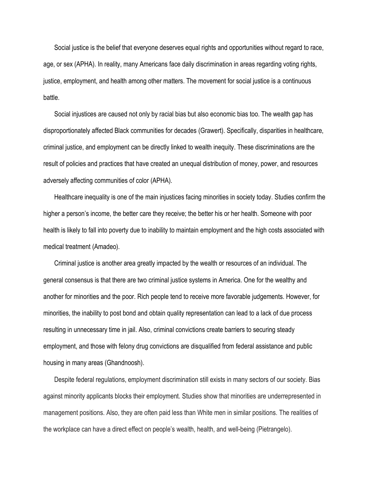Social justice is the belief that everyone deserves equal rights and opportunities without regard to race, age, or sex (APHA). In reality, many Americans face daily discrimination in areas regarding voting rights, justice, employment, and health among other matters. The movement for social justice is a continuous battle.

Social injustices are caused not only by racial bias but also economic bias too. The wealth gap has disproportionately affected Black communities for decades (Grawert). Specifically, disparities in healthcare, criminal justice, and employment can be directly linked to wealth inequity. These discriminations are the result of policies and practices that have created an unequal distribution of money, power, and resources adversely affecting communities of color (APHA).

Healthcare inequality is one of the main injustices facing minorities in society today. Studies confirm the higher a person's income, the better care they receive; the better his or her health. Someone with poor health is likely to fall into poverty due to inability to maintain employment and the high costs associated with medical treatment (Amadeo).

Criminal justice is another area greatly impacted by the wealth or resources of an individual. The general consensus is that there are two criminal justice systems in America. One for the wealthy and another for minorities and the poor. Rich people tend to receive more favorable judgements. However, for minorities, the inability to post bond and obtain quality representation can lead to a lack of due process resulting in unnecessary time in jail. Also, criminal convictions create barriers to securing steady employment, and those with felony drug convictions are disqualified from federal assistance and public housing in many areas (Ghandnoosh).

Despite federal regulations, employment discrimination still exists in many sectors of our society. Bias against minority applicants blocks their employment. Studies show that minorities are underrepresented in management positions. Also, they are often paid less than White men in similar positions. The realities of the workplace can have a direct effect on people's wealth, health, and well-being (Pietrangelo).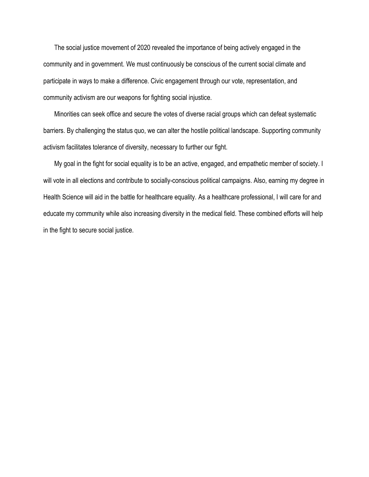The social justice movement of 2020 revealed the importance of being actively engaged in the community and in government. We must continuously be conscious of the current social climate and participate in ways to make a difference. Civic engagement through our vote, representation, and community activism are our weapons for fighting social injustice.

Minorities can seek office and secure the votes of diverse racial groups which can defeat systematic barriers. By challenging the status quo, we can alter the hostile political landscape. Supporting community activism facilitates tolerance of diversity, necessary to further our fight.

My goal in the fight for social equality is to be an active, engaged, and empathetic member of society. I will vote in all elections and contribute to socially-conscious political campaigns. Also, earning my degree in Health Science will aid in the battle for healthcare equality. As a healthcare professional, I will care for and educate my community while also increasing diversity in the medical field. These combined efforts will help in the fight to secure social justice.